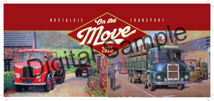

2023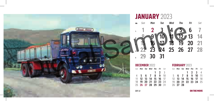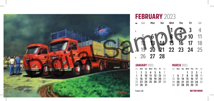

### FEBRUARY 2023



|          | <b>JANUARY 2023</b>  |  |                                    | <b>MARCH 2023</b> |  |
|----------|----------------------|--|------------------------------------|-------------------|--|
|          |                      |  | Sun <b>Mon Tue Wed Thu Fri</b> Sat | Sun Mon Tue W     |  |
|          | 1 2 3 4 5 6 7        |  |                                    |                   |  |
|          | 8 9 10 11 12 13 14   |  |                                    | 5 6 7 8           |  |
|          | 15 16 17 18 19 20 21 |  |                                    | 12 13 14 1        |  |
|          | 22 23 24 25 26 27 28 |  |                                    | 19 20 21 2        |  |
| 29 30 31 |                      |  |                                    | 26 27 28 2        |  |

|          | Sun <b>Mon Tue Wed Thu Fri</b> Sat |  |  |  | Sun <b>Mon Tue Wed Thu Fri</b> Sat |  |  |
|----------|------------------------------------|--|--|--|------------------------------------|--|--|
|          | 1 2 3 4 5 6 7                      |  |  |  | 1 2 3 4                            |  |  |
|          | 8 9 10 11 12 13 14                 |  |  |  | 5 6 7 8 9 10 11                    |  |  |
|          | 15 16 17 18 19 20 21               |  |  |  | 12 13 14 15 16 17 18               |  |  |
|          | 22 23 24 25 26 27 28               |  |  |  | 19 20 21 22 23 24 25               |  |  |
| 29 30 31 |                                    |  |  |  | 26 27 28 29 30 31                  |  |  |

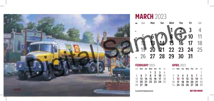

#### **MARCH 2023**



|          | <b>FEBRUARY 2023</b>               |         |  | <b>APRIL 2023</b> |                                    |  |    |
|----------|------------------------------------|---------|--|-------------------|------------------------------------|--|----|
|          | Sun <b>Mon Tue Wed Thu Fri</b> Sat |         |  |                   | Sun <b>Mon Tue Wed Thu Fri</b> Sat |  |    |
|          |                                    | 1 2 3 4 |  |                   |                                    |  | -1 |
|          | 5 6 7 8 9 10 11                    |         |  |                   | 2 3 4 5 6 7 8                      |  |    |
|          | 12 13 14 15 16 17 18               |         |  |                   | 9 10 11 12 13 14 15                |  |    |
|          | 19 20 21 22 23 24 25               |         |  |                   | 16 <b>17 18 19 20 21</b> 22        |  |    |
| 26 27 28 |                                    |         |  |                   | $23/30$ 24 25 26 27 28 29          |  |    |

| <b>APRIL 2023</b> |                                    |  |   |
|-------------------|------------------------------------|--|---|
|                   | Sun <b>Mon Tue Wed Thu Fri</b> Sat |  |   |
|                   |                                    |  | 1 |
|                   | 2 3 4 5 6 7 8                      |  |   |
|                   | 9 10 11 12 13 14 15                |  |   |
|                   | 16 17 18 19 20 21 22               |  |   |
|                   | $23/30$ 24 25 26 27 28 29          |  |   |

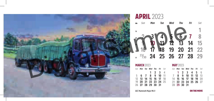

APRIL 2023



| <b>MARCH 2023</b> |  |                                    |         |  | <b>MAY 2023</b> |             |                                    |  |  |
|-------------------|--|------------------------------------|---------|--|-----------------|-------------|------------------------------------|--|--|
|                   |  | Sun <b>Mon Tue Wed Thu Fri</b> Sat |         |  |                 |             | Sun <b>Mon Tue Wed Thu Fri</b> Sat |  |  |
|                   |  |                                    | 1 2 3 4 |  |                 |             | 1 2 3 4 5 6                        |  |  |
|                   |  | 5 6 7 8 9 10 11                    |         |  |                 |             | 7 8 9 10 11 12 13                  |  |  |
|                   |  | 12 13 14 15 16 17 18               |         |  |                 |             | 14 <b>15 16 17 18 19</b> 20        |  |  |
|                   |  | 19 20 21 22 23 24 25               |         |  |                 |             | 21 22 23 24 25 26 27               |  |  |
|                   |  | 26 27 28 29 30 31                  |         |  |                 | 28 29 30 31 |                                    |  |  |

| <b>MAY 2023</b> |                                    |  |  |
|-----------------|------------------------------------|--|--|
|                 | Sun <b>Mon Tue Wed Thu Fri</b> Sat |  |  |
|                 | 1 2 3 4 5 6                        |  |  |
|                 | 7 8 9 10 11 12 13                  |  |  |
|                 | 14 15 16 17 18 19 20               |  |  |
|                 | 21 22 23 24 25 26 27               |  |  |
| 28 29 30 31     |                                    |  |  |

**AEC Mammoth Major Mk V CONSERVERGY CON THE MOVE**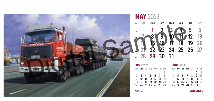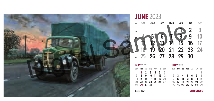

**JUNE 2023** 



| <b>MAY 2023</b> |                                    |  |  | <b>JULY 2023</b> |                                    |  |   |
|-----------------|------------------------------------|--|--|------------------|------------------------------------|--|---|
|                 | Sun <b>Mon Tue Wed Thu Fri</b> Sat |  |  |                  | Sun <b>Mon Tue Wed Thu Fri</b> Sat |  |   |
|                 | 1 2 3 4 5 6                        |  |  |                  |                                    |  | 1 |
|                 | 7 8 9 10 11 12 13                  |  |  |                  | 2 3 4 5 6 7 8                      |  |   |
|                 | 14 15 16 17 18 19 20               |  |  |                  | 9 10 11 12 13 14 15                |  |   |
|                 | 21 22 23 24 25 26 27               |  |  |                  | 16 17 18 19 20 21 22               |  |   |
| 28 29 30 31     |                                    |  |  |                  | $23/30$ $24/31$ 25 26 27 28 29     |  |   |

| <b>JULY 2023</b> |                                |  |   |
|------------------|--------------------------------|--|---|
|                  | Sun Mon Tue Wed Thu Fri Sat    |  |   |
|                  |                                |  | 1 |
|                  | 2 3 4 5 6 7 8                  |  |   |
|                  | 9 10 11 12 13 14 15            |  |   |
|                  | 16 <b>17 18 19 20 21</b> 22    |  |   |
|                  | $23/30$ $24/31$ 25 26 27 28 29 |  |   |

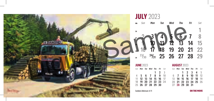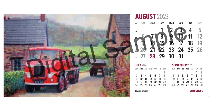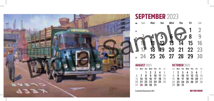

#### SEPTEMBER 2023



| <b>AUGUST 2023</b> |                                    |  |  |
|--------------------|------------------------------------|--|--|
|                    | Sun <b>Mon Tue Wed Thu Fri</b> Sat |  |  |
|                    | $1 \t2 \t3 \t4 \t5$                |  |  |
|                    | 6 7 8 9 10 11 12                   |  |  |
|                    | 13 <b>14 15 16 17 18</b> 19        |  |  |
|                    | 20 21 22 23 24 25 26               |  |  |
|                    | 27 28 29 30 31                     |  |  |

#### AUGUST **2023** OCTOBER **2023**

|  | Sun <b>Mon Tue Wed Thu Fri</b> Sat |  |  |          | Sun <b>Mon Tue Wed Thu Fri</b> Sat |  |  |
|--|------------------------------------|--|--|----------|------------------------------------|--|--|
|  | 1 2 3 4 5                          |  |  |          | 1 2 3 4 5 6 7                      |  |  |
|  | 6 7 8 9 10 11 12                   |  |  |          | 8 9 10 11 12 13 14                 |  |  |
|  | 13 <b>14 15 16 17 18</b> 19        |  |  |          | 15 16 17 18 19 20 21               |  |  |
|  | 20 <b>21 22 23 24 25</b> 26        |  |  |          | 22 23 24 25 26 27 28               |  |  |
|  | 27 28 29 30 31                     |  |  | 29 30 31 |                                    |  |  |

**Scammell Routeman Mk l CAMP CON THE MOVE** 

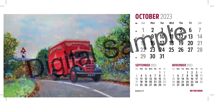

OCTOBER 2023



| <b>SEPTEMBER 2023</b> |  |                                    |  |  |             |  |  |  |  |  |  |  |
|-----------------------|--|------------------------------------|--|--|-------------|--|--|--|--|--|--|--|
|                       |  | Sun <b>Mon Tue Wed Thu Fri</b> Sat |  |  |             |  |  |  |  |  |  |  |
|                       |  |                                    |  |  | $1 \quad 2$ |  |  |  |  |  |  |  |
|                       |  | 3 4 5 6 7 8 9                      |  |  |             |  |  |  |  |  |  |  |
|                       |  | 10 <b>11 12 13 14 15</b> 16        |  |  |             |  |  |  |  |  |  |  |
|                       |  | 17 18 19 20 21 22 23               |  |  |             |  |  |  |  |  |  |  |
|                       |  | 24 25 26 27 28 29 30               |  |  |             |  |  |  |  |  |  |  |

*Sun Mon Tue Wed Thu Fri Sat Sun Mon Tue Wed Thu Fri Sat* **2 3 4 6 7 8 9 10 11 13 14 15 16 17 18 20 21 22 23 24 25 27 28 29 30** SEPTEMBER **2023** NOVEMBER **2023**

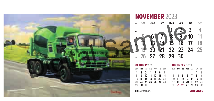

### NOVEMBER 2023



|          | <b>OCTOBER 2023</b>                |  |  |  | <b>DECEMBER 2023</b>               |  |           |
|----------|------------------------------------|--|--|--|------------------------------------|--|-----------|
|          | Sun <b>Mon Tue Wed Thu Fri</b> Sat |  |  |  | Sun <b>Mon Tue Wed Thu Fri</b> Sat |  |           |
|          | 1 2 3 4 5 6 7                      |  |  |  |                                    |  | $1\quad2$ |
|          | 8 9 10 11 12 13 14                 |  |  |  | 3 4 5 6 7 8 9                      |  |           |
|          | 15 16 17 18 19 20 21               |  |  |  | 10 <b>11 12 13 14 15</b> 16        |  |           |
|          | 22 23 24 25 26 27 28               |  |  |  | 17 18 19 20 21 22 23               |  |           |
| 29 30 31 |                                    |  |  |  | $24/31$ 25 26 27 28 29 30          |  |           |

| <b>DECEMBER 2023</b> |  |  |                             |  |  |         |  |  |
|----------------------|--|--|-----------------------------|--|--|---------|--|--|
|                      |  |  | Sun Mon Tue Wed Thu Fri Sat |  |  |         |  |  |
|                      |  |  |                             |  |  | $1 \t2$ |  |  |
|                      |  |  | 3 4 5 6 7 8 9               |  |  |         |  |  |
|                      |  |  | 10 <b>11 12 13 14 15</b> 16 |  |  |         |  |  |
|                      |  |  | 17 18 19 20 21 22 23        |  |  |         |  |  |
|                      |  |  | $24/31$ 25 26 27 28 29 30   |  |  |         |  |  |

**BLMC Levland Reiver CON THE MOVE** 

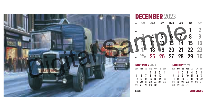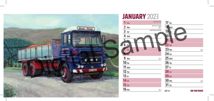

# JANUARY 2023

**6**

| $1 \,$ Sun  | New Year's Day             | $17$ Tue                   |             |
|-------------|----------------------------|----------------------------|-------------|
| $2$ Mon     | New Year's Holiday<br>Wk 1 | $18$ Wed                   |             |
| 3<br>Tue    | Bank Holiday (Scotland)    | $19$ <sub><i>Ihu</i></sub> |             |
| 4 Wed       |                            | $20$ Fri                   |             |
| $5 - m$     |                            | $S_{a}$                    |             |
| $6$ Fri     |                            | $22$ sun                   |             |
| Sat         |                            | $23$ Mon                   | Wk 4        |
| $5 - 5$ an  |                            | $24$ Tue                   |             |
| 9<br>Mon    | Wk 2                       | $25$ Wed                   |             |
| $10$ Tue    |                            | $26$ Thu                   |             |
| $11$ Wed    |                            | $27$ Fri                   |             |
| $12$ Thu    |                            | $28$ Sat                   |             |
| $13$ Fri    |                            | $29$ Sun                   |             |
| $14$ Sat    |                            | <b>30 Mon</b>              | Wk 5        |
| $15 \,$ Sun |                            | $31$ Tue                   |             |
| $16$ Mon    | Wk 3                       | <b>ERF LV</b>              | ON THE MOVE |
|             |                            |                            |             |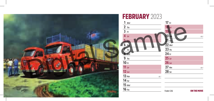

#### FEBRUARY 2023 *Wed Thu Fri Sat Mon Thu Fri Sat Sun Mon Tue Wed Thu Fri Wed Thu Fri Sat Sun Mon Tue Sun Tue Wed Sat Sun Mon Tue Wk 6 Wk 7 Wk 8 Wk 9* Foden S36 **ON THE MOVE**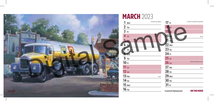

|             | <b>MARCH 2023</b> |                        |                     |                                      |
|-------------|-------------------|------------------------|---------------------|--------------------------------------|
| 1           | Wed               | St David's Day (Wales) | $17$ Fri            | St Patrick's Day (BH N Ireland/Eire) |
|             | $2$ Thu           |                        | $18$ Sat            |                                      |
| $3$ Fri     |                   |                        | $19 \sin$           |                                      |
|             | $4$ Sat           |                        | $20$ Mon            | Wk 12                                |
|             | $5 - \sin$        |                        | $21$ Tue            |                                      |
|             | $6$ Mon           | $Wk$ <sub>10</sub>     | $22$ Wed            |                                      |
|             | Tue               |                        | $23$ Thu            |                                      |
|             | 8 Wed             |                        | $24$ Fri            |                                      |
|             | $9$ Thu           |                        | $25$ Sat            |                                      |
| $10$ Fri    |                   |                        | $26 \,$ Sun         | <b>British Summertime starts</b>     |
| $11$ Sat    |                   |                        | $27$ Mon            | Wk 13                                |
| $12 \,$ Sun |                   |                        | $28$ Tue            |                                      |
|             | $13 \text{ Mon}$  | Wk 11                  | $29$ Wed            |                                      |
| $14$ Tue    |                   |                        | $30$ Thu            |                                      |
|             | $15$ Wed          |                        | $31$ Fri            |                                      |
| $16$ Thu    |                   |                        | Scammell Highwayman | ON THE MOVE                          |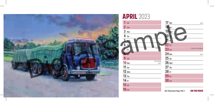

*Wk 16*

*Wk 17*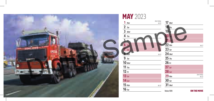

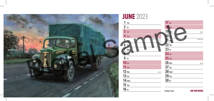

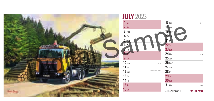

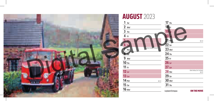

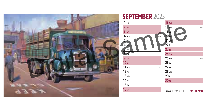

### SEPTEMBER 2023

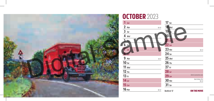

#### OCTOBER 2023 *Sun Mon Tue Wed Fri Mon Tue Wed Thu Fri Sat Sun Mon Tue Wed Sun Mon Tue Wed Thu Fri Sat Sun Mon Tue Thu Sat Sun Thu Fri Sat Wk 40 Wk 41 Wk 42 Wk 43 Wk 44 Bank Holiday (Eire) British Summertime ends* **Bedford 'O'** ON THE MOVE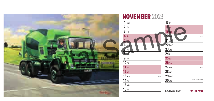

## NOVEMBER 2023